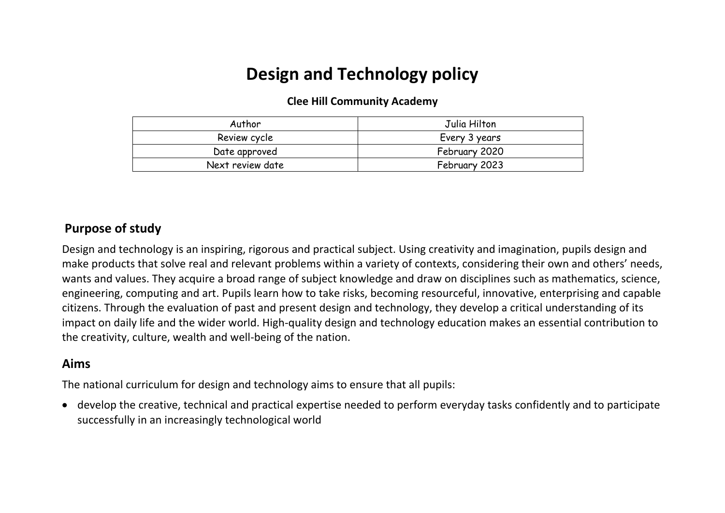# **Design and Technology policy**

#### **Clee Hill Community Academy**

| Author           | Julia Hilton  |  |
|------------------|---------------|--|
| Review cycle     | Every 3 years |  |
| Date approved    | February 2020 |  |
| Next review date | February 2023 |  |

### **Purpose of study**

Design and technology is an inspiring, rigorous and practical subject. Using creativity and imagination, pupils design and make products that solve real and relevant problems within a variety of contexts, considering their own and others' needs, wants and values. They acquire a broad range of subject knowledge and draw on disciplines such as mathematics, science, engineering, computing and art. Pupils learn how to take risks, becoming resourceful, innovative, enterprising and capable citizens. Through the evaluation of past and present design and technology, they develop a critical understanding of its impact on daily life and the wider world. High-quality design and technology education makes an essential contribution to the creativity, culture, wealth and well-being of the nation.

# **Aims**

The national curriculum for design and technology aims to ensure that all pupils:

• develop the creative, technical and practical expertise needed to perform everyday tasks confidently and to participate successfully in an increasingly technological world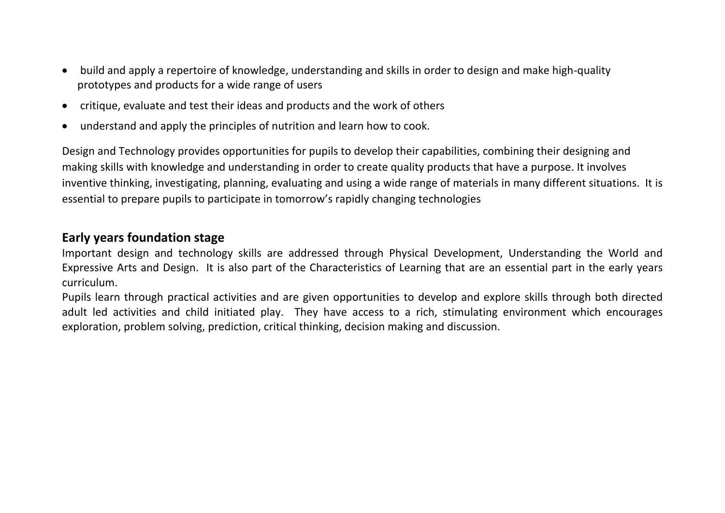- build and apply a repertoire of knowledge, understanding and skills in order to design and make high-quality prototypes and products for a wide range of users
- critique, evaluate and test their ideas and products and the work of others
- understand and apply the principles of nutrition and learn how to cook.

Design and Technology provides opportunities for pupils to develop their capabilities, combining their designing and making skills with knowledge and understanding in order to create quality products that have a purpose. It involves inventive thinking, investigating, planning, evaluating and using a wide range of materials in many different situations. It is essential to prepare pupils to participate in tomorrow's rapidly changing technologies

# **Early years foundation stage**

Important design and technology skills are addressed through Physical Development, Understanding the World and Expressive Arts and Design. It is also part of the Characteristics of Learning that are an essential part in the early years curriculum.

Pupils learn through practical activities and are given opportunities to develop and explore skills through both directed adult led activities and child initiated play. They have access to a rich, stimulating environment which encourages exploration, problem solving, prediction, critical thinking, decision making and discussion.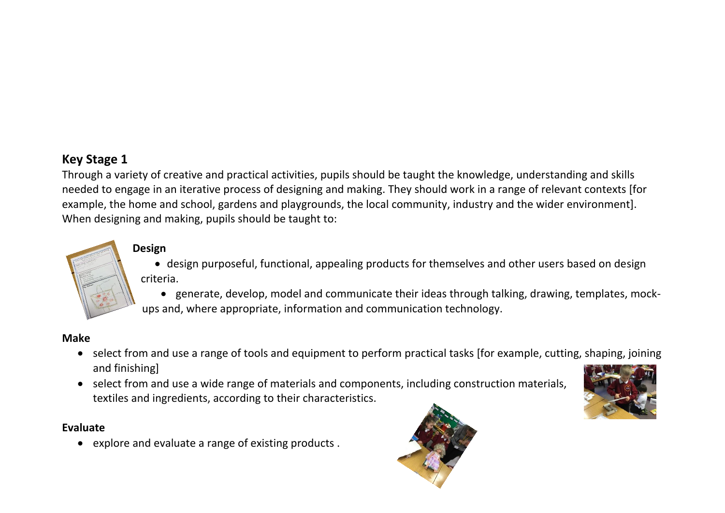# **Key Stage 1**

Through a variety of creative and practical activities, pupils should be taught the knowledge, understanding and skills needed to engage in an iterative process of designing and making. They should work in a range of relevant contexts [for example, the home and school, gardens and playgrounds, the local community, industry and the wider environment]. When designing and making, pupils should be taught to:

# **Design**

- design purposeful, functional, appealing products for themselves and other users based on design criteria.
- generate, develop, model and communicate their ideas through talking, drawing, templates, mockups and, where appropriate, information and communication technology.

#### **Make**

- select from and use a range of tools and equipment to perform practical tasks [for example, cutting, shaping, joining and finishing]
- select from and use a wide range of materials and components, including construction materials, textiles and ingredients, according to their characteristics.



#### **Evaluate**

• explore and evaluate a range of existing products .

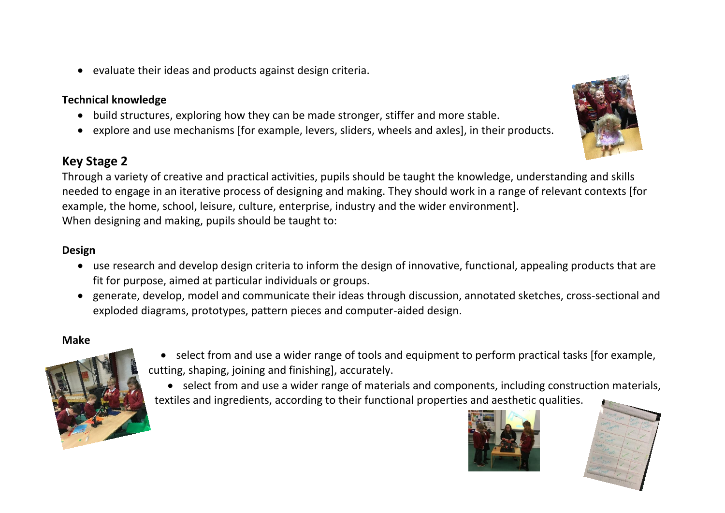• evaluate their ideas and products against design criteria.

#### **Technical knowledge**

- build structures, exploring how they can be made stronger, stiffer and more stable.
- explore and use mechanisms [for example, levers, sliders, wheels and axles], in their products.

# **Key Stage 2**

Through a variety of creative and practical activities, pupils should be taught the knowledge, understanding and skills needed to engage in an iterative process of designing and making. They should work in a range of relevant contexts [for example, the home, school, leisure, culture, enterprise, industry and the wider environment]. When designing and making, pupils should be taught to:

#### **Design**

- use research and develop design criteria to inform the design of innovative, functional, appealing products that are fit for purpose, aimed at particular individuals or groups.
- generate, develop, model and communicate their ideas through discussion, annotated sketches, cross-sectional and exploded diagrams, prototypes, pattern pieces and computer-aided design.

#### **Make**



- select from and use a wider range of tools and equipment to perform practical tasks [for example, cutting, shaping, joining and finishing], accurately.
- select from and use a wider range of materials and components, including construction materials, textiles and ingredients, according to their functional properties and aesthetic qualities.





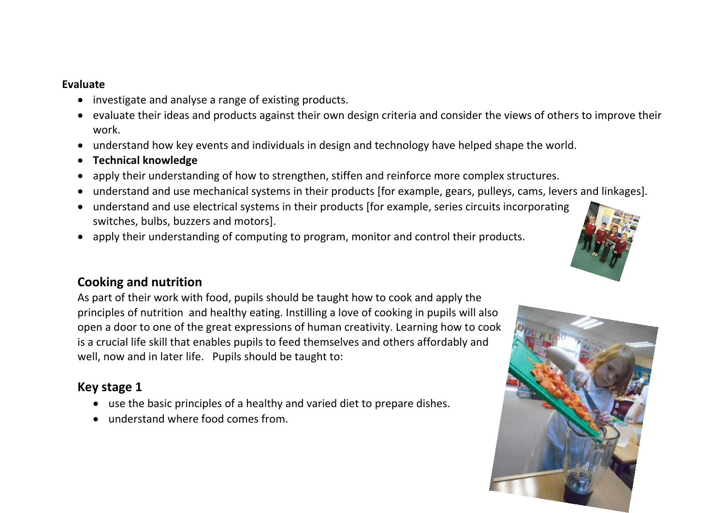#### **Evaluate**

- investigate and analyse a range of existing products.
- evaluate their ideas and products against their own design criteria and consider the views of others to improve their work.
- understand how key events and individuals in design and technology have helped shape the world.
- **Technical knowledge**
- apply their understanding of how to strengthen, stiffen and reinforce more complex structures.
- understand and use mechanical systems in their products [for example, gears, pulleys, cams, levers and linkages].
- understand and use electrical systems in their products [for example, series circuits incorporating switches, bulbs, buzzers and motors].
- apply their understanding of computing to program, monitor and control their products.

# **Cooking and nutrition**

As part of their work with food, pupils should be taught how to cook and apply the principles of nutrition and healthy eating. Instilling a love of cooking in pupils will also open a door to one of the great expressions of human creativity. Learning how to cook is a crucial life skill that enables pupils to feed themselves and others affordably and well, now and in later life. Pupils should be taught to:

# **Key stage 1**

- use the basic principles of a healthy and varied diet to prepare dishes.
- understand where food comes from.



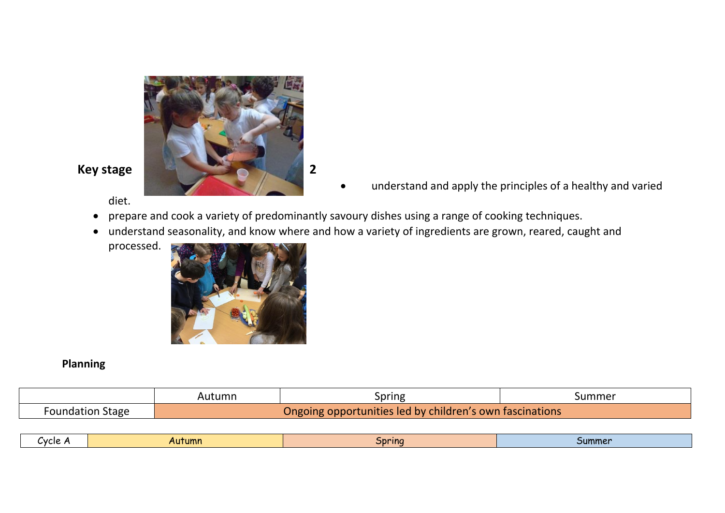

diet.

- understand and apply the principles of a healthy and varied
- prepare and cook a variety of predominantly savoury dishes using a range of cooking techniques.
- understand seasonality, and know where and how a variety of ingredients are grown, reared, caught and
	- processed.



## **Planning**

|            | Autumn                                                    | <i><b>Spring</b></i> | Summer |
|------------|-----------------------------------------------------------|----------------------|--------|
| , Stage    | <b>opportunities led by children's own fascinations \</b> |                      |        |
| Foundation | Ongoing                                                   |                      |        |

| Cvcle<br>Autumn | Spring | <b>Summer</b> |
|-----------------|--------|---------------|
|-----------------|--------|---------------|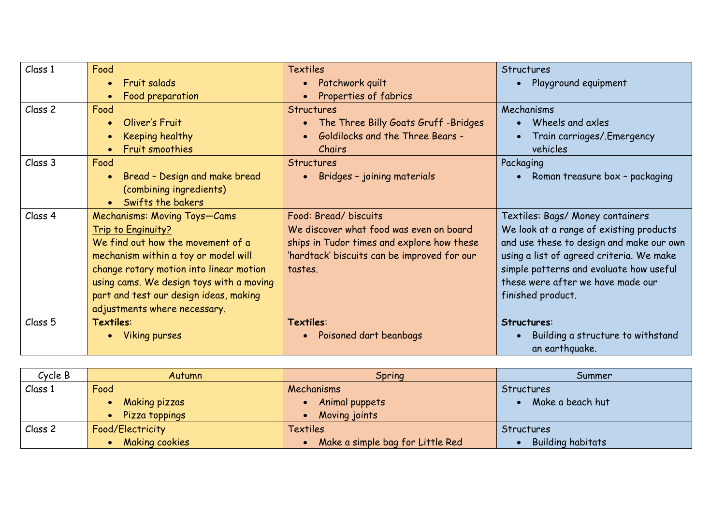| Class 1            | Food                                     | <b>Textiles</b>                             | Structures                                          |
|--------------------|------------------------------------------|---------------------------------------------|-----------------------------------------------------|
|                    | <b>Fruit salads</b>                      | Patchwork quilt                             | Playground equipment<br>$\bullet$                   |
|                    | Food preparation                         | Properties of fabrics                       |                                                     |
| Class <sub>2</sub> | Food                                     | <b>Structures</b>                           | Mechanisms                                          |
|                    | Oliver's Fruit                           | • The Three Billy Goats Gruff -Bridges      | Wheels and axles<br>$\bullet$                       |
|                    | Keeping healthy                          | <b>Goldilocks and the Three Bears -</b>     | Train carriages/.Emergency                          |
|                    | Fruit smoothies                          | Chairs                                      | vehicles                                            |
| Class 3            | Food                                     | <b>Structures</b>                           | Packaging                                           |
|                    | Bread - Design and make bread            | Bridges - joining materials                 | Roman treasure box - packaging<br>$\bullet$         |
|                    | (combining ingredients)                  |                                             |                                                     |
|                    | • Swifts the bakers                      |                                             |                                                     |
| Class 4            | Mechanisms: Moving Toys-Cams             | Food: Bread/biscuits                        | Textiles: Bags/ Money containers                    |
|                    | Trip to Enginuity?                       | We discover what food was even on board     | We look at a range of existing products             |
|                    | We find out how the movement of a        | ships in Tudor times and explore how these  | and use these to design and make our own            |
|                    | mechanism within a toy or model will     | 'hardtack' biscuits can be improved for our | using a list of agreed criteria. We make            |
|                    | change rotary motion into linear motion  | tastes.                                     | simple patterns and evaluate how useful             |
|                    | using cams. We design toys with a moving |                                             | these were after we have made our                   |
|                    | part and test our design ideas, making   |                                             | finished product.                                   |
|                    | adjustments where necessary.             |                                             |                                                     |
| Class <sub>5</sub> | Textiles:                                | Textiles:                                   | Structures:                                         |
|                    | Viking purses                            | Poisoned dart beanbags<br>$\bullet$         | Building a structure to withstand<br>an earthquake. |

| Cycle B | <b>Autumn</b>         | Spring                           | Summer                   |
|---------|-----------------------|----------------------------------|--------------------------|
| Class 1 | Food                  | Mechanisms                       | Structures               |
|         | <b>Making pizzas</b>  | Animal puppets                   | Make a beach hut         |
|         | Pizza toppings        | Moving joints                    |                          |
| Class 2 | Food/Electricity      | <b>Textiles</b>                  | Structures               |
|         | <b>Making cookies</b> | Make a simple bag for Little Red | <b>Building habitats</b> |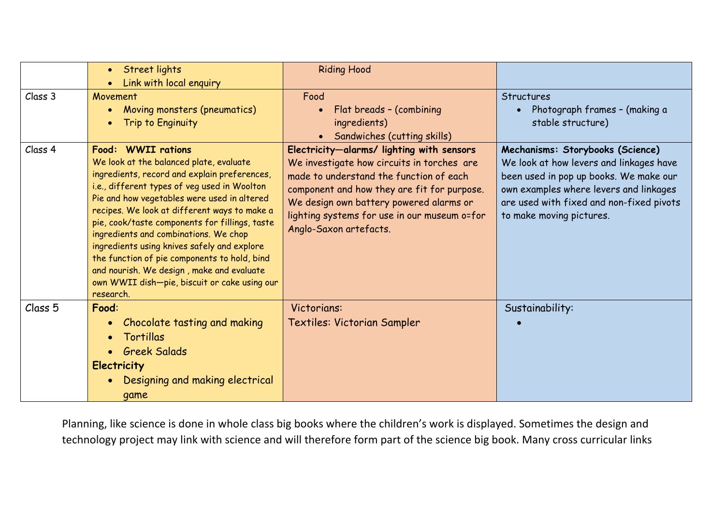|                    | Street lights                                                                                                                                                                                                                                                                                                                                                                                                                                                                                       | <b>Riding Hood</b>                                                                                                                                                                                                                                                                                     |                                                                                                                                                                                                                                         |
|--------------------|-----------------------------------------------------------------------------------------------------------------------------------------------------------------------------------------------------------------------------------------------------------------------------------------------------------------------------------------------------------------------------------------------------------------------------------------------------------------------------------------------------|--------------------------------------------------------------------------------------------------------------------------------------------------------------------------------------------------------------------------------------------------------------------------------------------------------|-----------------------------------------------------------------------------------------------------------------------------------------------------------------------------------------------------------------------------------------|
|                    | Link with local enquiry                                                                                                                                                                                                                                                                                                                                                                                                                                                                             |                                                                                                                                                                                                                                                                                                        |                                                                                                                                                                                                                                         |
| Class 3            | Movement                                                                                                                                                                                                                                                                                                                                                                                                                                                                                            | Food                                                                                                                                                                                                                                                                                                   | Structures                                                                                                                                                                                                                              |
|                    | Moving monsters (pneumatics)                                                                                                                                                                                                                                                                                                                                                                                                                                                                        | Flat breads - (combining                                                                                                                                                                                                                                                                               | Photograph frames - (making a                                                                                                                                                                                                           |
|                    | Trip to Enginuity                                                                                                                                                                                                                                                                                                                                                                                                                                                                                   | ingredients)                                                                                                                                                                                                                                                                                           | stable structure)                                                                                                                                                                                                                       |
|                    |                                                                                                                                                                                                                                                                                                                                                                                                                                                                                                     | Sandwiches (cutting skills)                                                                                                                                                                                                                                                                            |                                                                                                                                                                                                                                         |
| Class 4            | Food: WWII rations<br>We look at the balanced plate, evaluate<br>ingredients, record and explain preferences,<br>i.e., different types of veg used in Woolton<br>Pie and how vegetables were used in altered<br>recipes. We look at different ways to make a<br>pie, cook/taste components for fillings, taste<br>ingredients and combinations. We chop<br>ingredients using knives safely and explore<br>the function of pie components to hold, bind<br>and nourish. We design, make and evaluate | Electricity-alarms/ lighting with sensors<br>We investigate how circuits in torches are<br>made to understand the function of each<br>component and how they are fit for purpose.<br>We design own battery powered alarms or<br>lighting systems for use in our museum o=for<br>Anglo-Saxon artefacts. | Mechanisms: Storybooks (Science)<br>We look at how levers and linkages have<br>been used in pop up books. We make our<br>own examples where levers and linkages<br>are used with fixed and non-fixed pivots<br>to make moving pictures. |
|                    | own WWII dish-pie, biscuit or cake using our<br>research.                                                                                                                                                                                                                                                                                                                                                                                                                                           |                                                                                                                                                                                                                                                                                                        |                                                                                                                                                                                                                                         |
| Class <sub>5</sub> | Food:                                                                                                                                                                                                                                                                                                                                                                                                                                                                                               | Victorians:                                                                                                                                                                                                                                                                                            | Sustainability:                                                                                                                                                                                                                         |
|                    | Chocolate tasting and making                                                                                                                                                                                                                                                                                                                                                                                                                                                                        | <b>Textiles: Victorian Sampler</b>                                                                                                                                                                                                                                                                     |                                                                                                                                                                                                                                         |
|                    | Tortillas                                                                                                                                                                                                                                                                                                                                                                                                                                                                                           |                                                                                                                                                                                                                                                                                                        |                                                                                                                                                                                                                                         |
|                    | <b>Greek Salads</b>                                                                                                                                                                                                                                                                                                                                                                                                                                                                                 |                                                                                                                                                                                                                                                                                                        |                                                                                                                                                                                                                                         |
|                    | <b>Electricity</b>                                                                                                                                                                                                                                                                                                                                                                                                                                                                                  |                                                                                                                                                                                                                                                                                                        |                                                                                                                                                                                                                                         |
|                    | Designing and making electrical                                                                                                                                                                                                                                                                                                                                                                                                                                                                     |                                                                                                                                                                                                                                                                                                        |                                                                                                                                                                                                                                         |
|                    | game                                                                                                                                                                                                                                                                                                                                                                                                                                                                                                |                                                                                                                                                                                                                                                                                                        |                                                                                                                                                                                                                                         |

Planning, like science is done in whole class big books where the children's work is displayed. Sometimes the design and technology project may link with science and will therefore form part of the science big book. Many cross curricular links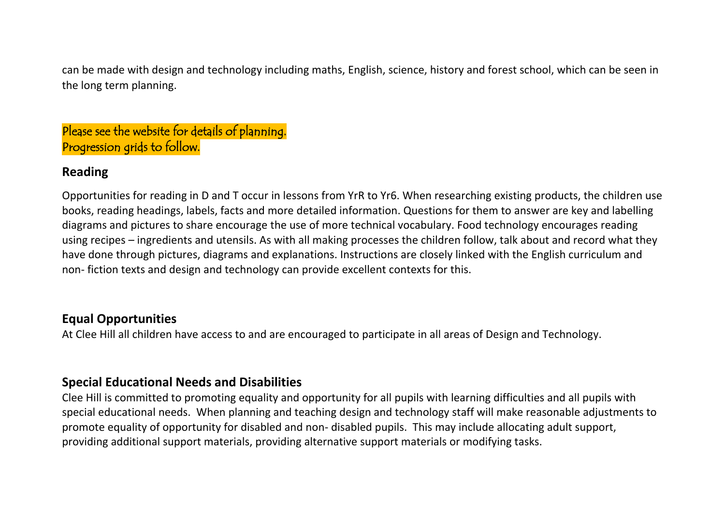can be made with design and technology including maths, English, science, history and forest school, which can be seen in the long term planning.

# Please see the website for details of planning. Progression grids to follow.

# **Reading**

Opportunities for reading in D and T occur in lessons from YrR to Yr6. When researching existing products, the children use books, reading headings, labels, facts and more detailed information. Questions for them to answer are key and labelling diagrams and pictures to share encourage the use of more technical vocabulary. Food technology encourages reading using recipes – ingredients and utensils. As with all making processes the children follow, talk about and record what they have done through pictures, diagrams and explanations. Instructions are closely linked with the English curriculum and non- fiction texts and design and technology can provide excellent contexts for this.

# **Equal Opportunities**

At Clee Hill all children have access to and are encouraged to participate in all areas of Design and Technology.

# **Special Educational Needs and Disabilities**

Clee Hill is committed to promoting equality and opportunity for all pupils with learning difficulties and all pupils with special educational needs. When planning and teaching design and technology staff will make reasonable adjustments to promote equality of opportunity for disabled and non- disabled pupils. This may include allocating adult support, providing additional support materials, providing alternative support materials or modifying tasks.